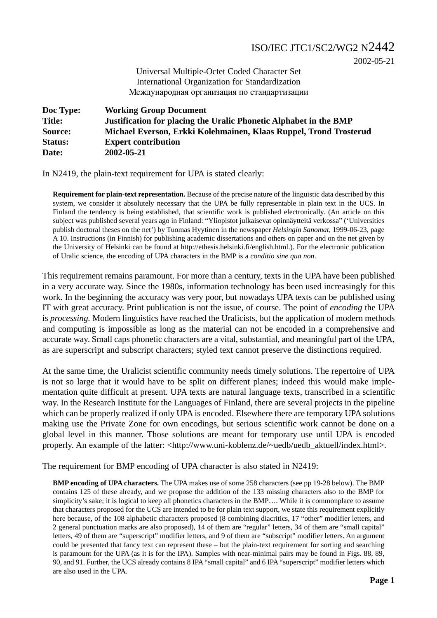## ISO/IEC JTC1/SC2/WG2 N2442

2002-05-21

Universal Multiple-Octet Coded Character Set International Organization for Standardization Международная организация по стандартизации

**Doc Type: Working Group Document Title: Justification for placing the Uralic Phonetic Alphabet in the BMP Source: Michael Everson, Erkki Kolehmainen, Klaas Ruppel, Trond Trosterud Status: Expert contribution Date: 2002-05-21**

In N2419, the plain-text requirement for UPA is stated clearly:

**Requirement for plain-text representation.** Because of the precise nature of the linguistic data described by this system, we consider it absolutely necessary that the UPA be fully representable in plain text in the UCS. In Finland the tendency is being established, that scientific work is published electronically. (An article on this subject was published several years ago in Finland: "Yliopistot julkaisevat opinnäytteitä verkossa" ('Universities publish doctoral theses on the net') by Tuomas Hyytinen in the newspaper *Helsingin Sanomat*, 1999-06-23, page A 10. Instructions (in Finnish) for publishing academic dissertations and others on paper and on the net given by the University of Helsinki can be found at http://ethesis.helsinki.fi/english.html.). For the electronic publication of Uralic science, the encoding of UPA characters in the BMP is a *conditio sine qua non*.

This requirement remains paramount. For more than a century, texts in the UPA have been published in a very accurate way. Since the 1980s, information technology has been used increasingly for this work. In the beginning the accuracy was very poor, but nowadays UPA texts can be published using IT with great accuracy. Print publication is not the issue, of course. The point of *encoding* the UPA is *processing.* Modern linguistics have reached the Uralicists, but the application of modern methods and computing is impossible as long as the material can not be encoded in a comprehensive and accurate way. Small caps phonetic characters are a vital, substantial, and meaningful part of the UPA, as are superscript and subscript characters; styled text cannot preserve the distinctions required.

At the same time, the Uralicist scientific community needs timely solutions. The repertoire of UPA is not so large that it would have to be split on different planes; indeed this would make implementation quite difficult at present. UPA texts are natural language texts, transcribed in a scientific way. In the Research Institute for the Languages of Finland, there are several projects in the pipeline which can be properly realized if only UPA is encoded. Elsewhere there are temporary UPA solutions making use the Private Zone for own encodings, but serious scientific work cannot be done on a global level in this manner. Those solutions are meant for temporary use until UPA is encoded properly. An example of the latter: <http://www.uni-koblenz.de/~uedb/uedb\_aktuell/index.html>.

The requirement for BMP encoding of UPA character is also stated in N2419:

**BMP encoding of UPA characters.** The UPA makes use of some 258 characters (see pp 19-28 below). The BMP contains 125 of these already, and we propose the addition of the 133 missing characters also to the BMP for simplicity's sake; it is logical to keep all phonetics characters in the BMP.... While it is commonplace to assume that characters proposed for the UCS are intended to be for plain text support, we state this requirement explicitly here because, of the 108 alphabetic characters proposed (8 combining diacritics, 17 "other" modifier letters, and 2 general punctuation marks are also proposed), 14 of them are "regular" letters, 34 of them are "small capital" letters, 49 of them are "superscript" modifier letters, and 9 of them are "subscript" modifier letters. An argument could be presented that fancy text can represent these – but the plain-text requirement for sorting and searching is paramount for the UPA (as it is for the IPA). Samples with near-minimal pairs may be found in Figs. 88, 89, 90, and 91. Further, the UCS already contains 8 IPA "small capital" and 6 IPA "superscript" modifier letters which are also used in the UPA.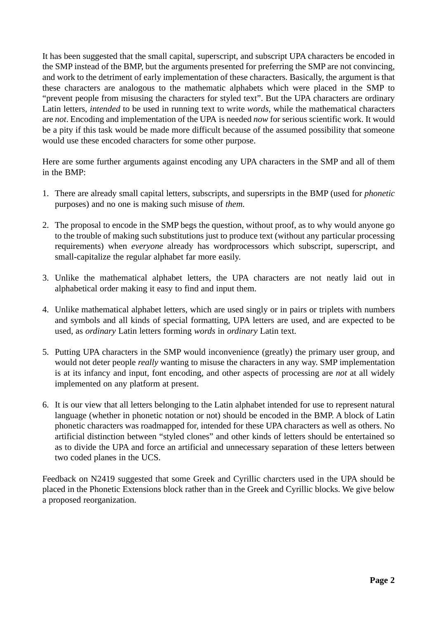It has been suggested that the small capital, superscript, and subscript UPA characters be encoded in the SMP instead of the BMP, but the arguments presented for preferring the SMP are not convincing, and work to the detriment of early implementation of these characters. Basically, the argument is that these characters are analogous to the mathematic alphabets which were placed in the SMP to "prevent people from misusing the characters for styled text". But the UPA characters are ordinary Latin letters, *intended* to be used in running text to write *words*, while the mathematical characters are *not*. Encoding and implementation of the UPA is needed *now* for serious scientific work. It would be a pity if this task would be made more difficult because of the assumed possibility that someone would use these encoded characters for some other purpose.

Here are some further arguments against encoding any UPA characters in the SMP and all of them in the BMP:

- 1. There are already small capital letters, subscripts, and supersripts in the BMP (used for *phonetic* purposes) and no one is making such misuse of *them*.
- 2. The proposal to encode in the SMP begs the question, without proof, as to why would anyone go to the trouble of making such substitutions just to produce text (without any particular processing requirements) when *everyone* already has wordprocessors which subscript, superscript, and small-capitalize the regular alphabet far more easily.
- 3. Unlike the mathematical alphabet letters, the UPA characters are not neatly laid out in alphabetical order making it easy to find and input them.
- 4. Unlike mathematical alphabet letters, which are used singly or in pairs or triplets with numbers and symbols and all kinds of special formatting, UPA letters are used, and are expected to be used, as *ordinary* Latin letters forming *words* in *ordinary* Latin text.
- 5. Putting UPA characters in the SMP would inconvenience (greatly) the primary user group, and would not deter people *really* wanting to misuse the characters in any way. SMP implementation is at its infancy and input, font encoding, and other aspects of processing are *not* at all widely implemented on any platform at present.
- 6. It is our view that all letters belonging to the Latin alphabet intended for use to represent natural language (whether in phonetic notation or not) should be encoded in the BMP. A block of Latin phonetic characters was roadmapped for, intended for these UPA characters as well as others. No artificial distinction between "styled clones" and other kinds of letters should be entertained so as to divide the UPA and force an artificial and unnecessary separation of these letters between two coded planes in the UCS.

Feedback on N2419 suggested that some Greek and Cyrillic charcters used in the UPA should be placed in the Phonetic Extensions block rather than in the Greek and Cyrillic blocks. We give below a proposed reorganization.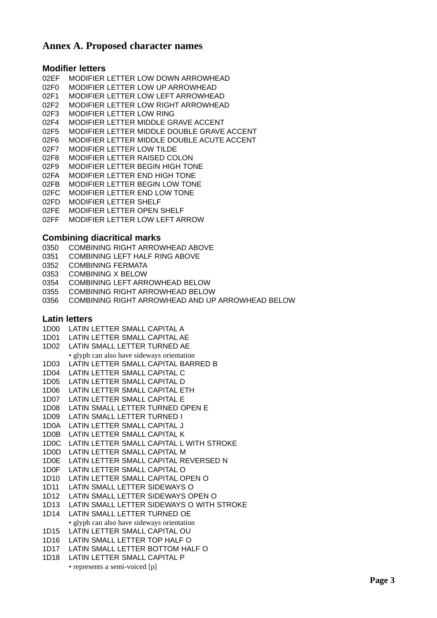### **Annex A. Proposed character names**

#### **Modifier letters**

| 02EF | MODIFIER LETTER LOW DOWN ARROWHEAD         |
|------|--------------------------------------------|
| 02F0 | MODIFIER LETTER LOW UP ARROWHEAD           |
| 02F1 | MODIFIER LETTER LOW LEFT ARROWHEAD         |
| 02F2 | MODIFIER LETTER LOW RIGHT ARROWHEAD        |
| 02F3 | MODIFIER LETTER LOW RING                   |
| 02F4 | MODIFIER LETTER MIDDLE GRAVE ACCENT        |
| 02F5 | MODIFIER LETTER MIDDLE DOUBLE GRAVE ACCENT |
| 02F6 | MODIFIER LETTER MIDDLE DOUBLE ACUTE ACCENT |
| 02F7 | MODIFIER LETTER LOW TILDE                  |
| 02F8 | MODIFIER LETTER RAISED COLON               |
| 02F9 | MODIFIER LETTER BEGIN HIGH TONE            |
| 02FA | MODIFIER LETTER END HIGH TONE              |
| 02FB | MODIFIER LETTER BEGIN LOW TONE             |
| 02FC | MODIFIER LETTER END LOW TONE               |
| 02FD | MODIFIER LETTER SHELF                      |
| 02FE | <b>MODIFIER LETTER OPEN SHELF</b>          |
| 02FF | MODIFIER LETTER LOW LEFT ARROW             |

### **Combining diacritical marks**

- 0350 COMBINING RIGHT ARROWHEAD ABOVE
- 0351 COMBINING LEFT HALF RING ABOVE
- 0352 COMBINING FERMATA
- 0353 COMBINING X BELOW
- 0354 COMBINING LEFT ARROWHEAD BELOW
- 0355 COMBINING RIGHT ARROWHEAD BELOW
- 0356 COMBINING RIGHT ARROWHEAD AND UP ARROWHEAD BELOW

#### **Latin letters**

- 1D00 LATIN LETTER SMALL CAPITAL A
- 1D01 LATIN LETTER SMALL CAPITAL AE
- 1D02 LATIN SMALL LETTER TURNED AE
- glyph can also have sideways orientation
- 1D03 LATIN LETTER SMALL CAPITAL BARRED B
- 1D04 LATIN LETTER SMALL CAPITAL C
- 1D05 LATIN LETTER SMALL CAPITAL D
- 1D06 LATIN LETTER SMALL CAPITAL ETH
- 1D07 LATIN LETTER SMALL CAPITAL E
- 1D08 LATIN SMALL LETTER TURNED OPEN E
- 1D09 LATIN SMALL LETTER TURNED I
- 1D0A LATIN LETTER SMALL CAPITAL J
- 1D0B LATIN LETTER SMALL CAPITAL K
- 1D0C LATIN LETTER SMALL CAPITAL L WITH STROKE
- 1D0D LATIN LETTER SMALL CAPITAL M
- 1D0E LATIN LETTER SMALL CAPITAL REVERSED N
- 1D0F LATIN LETTER SMALL CAPITAL O
- 1D10 LATIN LETTER SMALL CAPITAL OPEN O
- 1D11 LATIN SMALL LETTER SIDEWAYS O
- 1D12 LATIN SMALL LETTER SIDEWAYS OPEN O
- 1D13 LATIN SMALL LETTER SIDEWAYS O WITH STROKE
- 1D14 LATIN SMALL LETTER TURNED OE
- glyph can also have sideways orientation
- 1D15 LATIN LETTER SMALL CAPITAL OU
- 1D16 LATIN SMALL LETTER TOP HALF O
- 1D17 LATIN SMALL LETTER BOTTOM HALF O
- 1D18 LATIN LETTER SMALL CAPITAL P
	- represents a semi-voiced [p]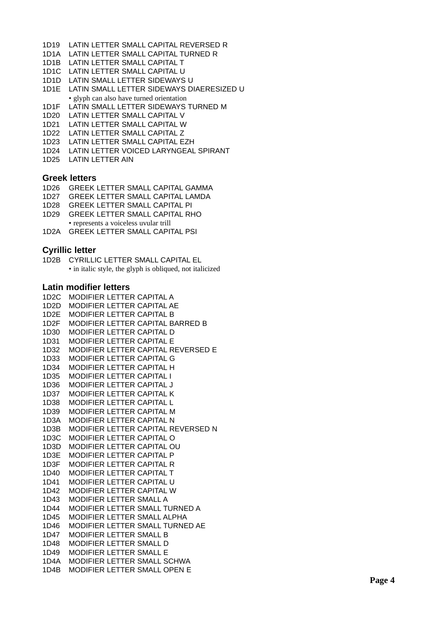- 1D19 LATIN LETTER SMALL CAPITAL REVERSED R
- 1D1A LATIN LETTER SMALL CAPITAL TURNED R
- 1D1B LATIN LETTER SMALL CAPITAL T
- 1D1C LATIN LETTER SMALL CAPITAL U
- 1D1D LATIN SMALL LETTER SIDEWAYS U
- 1D1E LATIN SMALL LETTER SIDEWAYS DIAERESIZED U
- glyph can also have turned orientation 1D1F LATIN SMALL LETTER SIDEWAYS TURNED M
- 1D20 LATIN LETTER SMALL CAPITAL V
- 1D21 LATIN LETTER SMALL CAPITAL W
- 1D22 LATIN LETTER SMALL CAPITAL Z
- 1D23 LATIN LETTER SMALL CAPITAL EZH
- 1D24 LATIN LETTER VOICED LARYNGEAL SPIRANT
- 1D25 LATIN LETTER AIN

#### **Greek letters**

- 1D26 GREEK LETTER SMALL CAPITAL GAMMA
- 1D27 GREEK LETTER SMALL CAPITAL LAMDA
- 1D28 GREEK LETTER SMALL CAPITAL PI
- 1D29 GREEK LETTER SMALL CAPITAL RHO • represents a voiceless uvular trill
- 1D2A GREEK LETTER SMALL CAPITAL PSI

### **Cyrillic letter**

1D2B CYRILLIC LETTER SMALL CAPITAL EL • in italic style, the glyph is obliqued, not italicized

#### **Latin modifier letters**

1D2C MODIFIER LETTER CAPITAL A 1D2D MODIFIER LETTER CAPITAL AE 1D2E MODIFIER LETTER CAPITAL B 1D2F MODIFIER LETTER CAPITAL BARRED B 1D30 MODIFIER LETTER CAPITAL D 1D31 MODIFIER LETTER CAPITAL E 1D32 MODIFIER LETTER CAPITAL REVERSED E 1D33 MODIFIER LETTER CAPITAL G 1D34 MODIFIER LETTER CAPITAL H 1D35 MODIFIER LETTER CAPITAL I 1D36 MODIFIER LETTER CAPITAL J 1D37 MODIFIER LETTER CAPITAL K 1D38 MODIFIER LETTER CAPITAL L 1D39 MODIFIER LETTER CAPITAL M 1D3A MODIFIER LETTER CAPITAL N 1D3B MODIFIER LETTER CAPITAL REVERSED N 1D3C MODIFIER LETTER CAPITAL O 1D3D MODIFIER LETTER CAPITAL OU 1D3E MODIFIER LETTER CAPITAL P 1D3F MODIFIER LETTER CAPITAL R 1D40 MODIFIER LETTER CAPITAL T 1D41 MODIFIER LETTER CAPITAL U 1D42 MODIFIER LETTER CAPITAL W 1D43 MODIFIER LETTER SMALL A 1D44 MODIFIER LETTER SMALL TURNED A 1D45 MODIFIER LETTER SMALL ALPHA 1D46 MODIFIER LETTER SMALL TURNED AE 1D47 MODIFIER LETTER SMALL B 1D48 MODIFIER LETTER SMALL D 1D49 MODIFIER LETTER SMALL E 1D4A MODIFIER LETTER SMALL SCHWA 1D4B MODIFIER LETTER SMALL OPEN E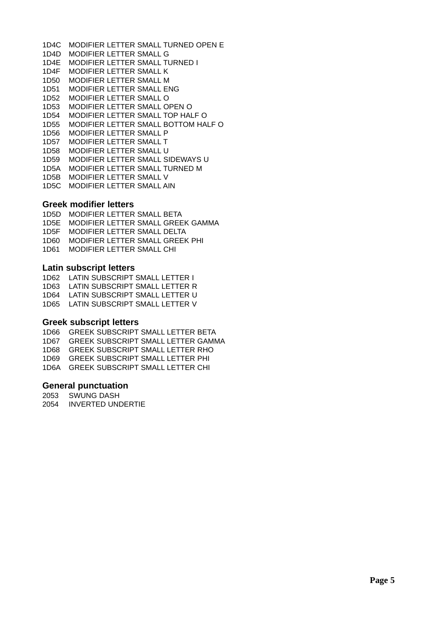1D4C MODIFIER LETTER SMALL TURNED OPEN E 1D4D MODIFIER LETTER SMALL G 1D4E MODIFIER LETTER SMALL TURNED I 1D4F MODIFIER LETTER SMALL K 1D50 MODIFIER LETTER SMALL M 1D51 MODIFIER LETTER SMALL ENG 1D52 MODIFIER LETTER SMALL O 1D53 MODIFIER LETTER SMALL OPEN O 1D54 MODIFIER LETTER SMALL TOP HALF O 1D55 MODIFIER LETTER SMALL BOTTOM HALF O 1D56 MODIFIER LETTER SMALL P 1D57 MODIFIER LETTER SMALL T 1D58 MODIFIER LETTER SMALL U 1D59 MODIFIER LETTER SMALL SIDEWAYS U 1D5A MODIFIER LETTER SMALL TURNED M 1D5B MODIFIER LETTER SMALL V 1D5C MODIFIER LETTER SMALL AIN

#### **Greek modifier letters**

1D5D MODIFIER LETTER SMALL BETA 1D5E MODIFIER LETTER SMALL GREEK GAMMA 1D5F MODIFIER LETTER SMALL DELTA 1D60 MODIFIER LETTER SMALL GREEK PHI 1D61 MODIFIER LETTER SMALL CHI

#### **Latin subscript letters**

1D62 LATIN SUBSCRIPT SMALL LETTER I 1D63 LATIN SUBSCRIPT SMALL LETTER R 1D64 LATIN SUBSCRIPT SMALL LETTER U 1D65 LATIN SUBSCRIPT SMALL LETTER V

#### **Greek subscript letters**

1D66 GREEK SUBSCRIPT SMALL LETTER BETA 1D67 GREEK SUBSCRIPT SMALL LETTER GAMMA 1D68 GREEK SUBSCRIPT SMALL LETTER RHO 1D69 GREEK SUBSCRIPT SMALL LETTER PHI 1D6A GREEK SUBSCRIPT SMALL LETTER CHI

#### **General punctuation**

2053 SWUNG DASH 2054 INVERTED UNDERTIE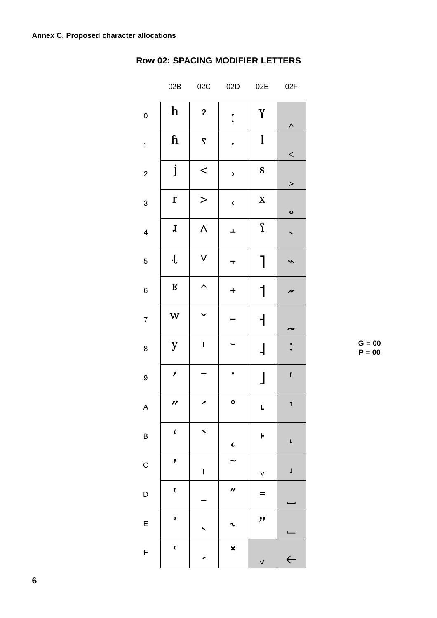|                         | 02B                      | 02C                       | 02D                   | 02E                      | 02F           |
|-------------------------|--------------------------|---------------------------|-----------------------|--------------------------|---------------|
| $\pmb{0}$               | $\mathbf h$              | $\boldsymbol{\mathsf{P}}$ | $\frac{1}{\lambda}$   | $\pmb{V}$                | $\land$       |
| $\mathbf{1}$            | $\mathbf{h}$             | $\mathbf{S}$              | Y                     | $\mathbf{l}$             | $\lt$         |
| $\overline{\mathbf{c}}$ | j                        | $\lt$                     | $\mathbf{z}$          | S                        | $\geq$        |
| $\mathsf 3$             | r                        | $\geq$                    | $\epsilon$            | $\mathbf X$              | $\mathbf{o}$  |
| $\overline{\mathbf{4}}$ | $\mathbf{I}$             | $\Lambda$                 | Ŧ,                    | $\boldsymbol{\Omega}$    |               |
| 5                       | $\mathbf{J}$             | V                         | T                     | 1                        | 、             |
| $\overline{6}$          | ${\bf R}$                | ↖                         | $\ddot{}$             | 1                        | n             |
| $\overline{7}$          | W                        |                           |                       | $\mathsf{I}$             |               |
| 8                       | y                        | $\mathbf{I}$              |                       | $\mathsf 1$              |               |
| 9                       | $\overline{\phantom{a}}$ |                           |                       | $\overline{\phantom{a}}$ | $\mathsf{r}$  |
| $\overline{A}$          | $\prime$                 | ↗                         | $\mathbf{o}$          | $\mathbf{L}$             | $\mathbf{I}$  |
| $\overline{B}$          | $\blacklozenge$          |                           | $\epsilon$            | F                        | L             |
| $\mathsf C$             | ,                        | $\overline{\mathbf{I}}$   |                       | V                        | $\frac{1}{2}$ |
| D                       | $\blacklozenge$          |                           | $\boldsymbol{\prime}$ | =                        |               |
| E                       | $\mathbf{z}$             |                           |                       | ,,                       |               |
| F                       | $\epsilon$               |                           | ×                     | $\checkmark$             | $\leftarrow$  |

# **Row 02: SPACING MODIFIER LETTERS**

 $G = 00$  $P = 00$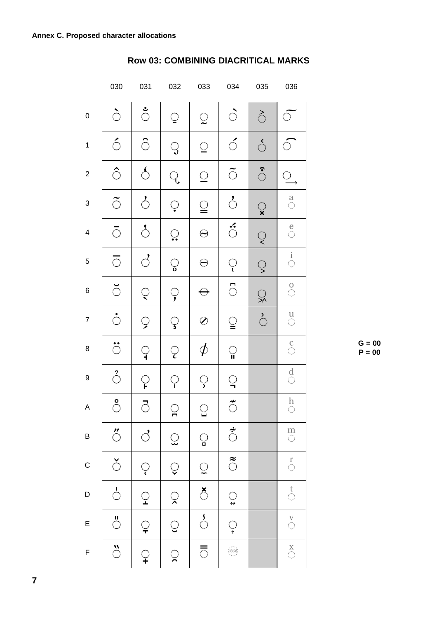|                         | 030                       | 031                         | 032            | 033                      | 034                         | 035            | 036                                       |
|-------------------------|---------------------------|-----------------------------|----------------|--------------------------|-----------------------------|----------------|-------------------------------------------|
| $\pmb{0}$               | ે                         | $\sum_{i=1}^{n}$            | $\overline{Q}$ | $\bigcirc$               | $\hat{\mathcal{O}}$         | ै              | $\bigcirc$                                |
| $\mathbf{1}$            | $\acute{\circ}$           | ି                           | $\overline{Q}$ | $\subseteq$              | $\acute{\phi}$              | ဴ              | $\bigcirc$                                |
| $\overline{\mathbf{c}}$ | Ô                         | $\mathcal{S}_{\mathcal{C}}$ | $\overline{Q}$ | $\subseteq$              | $\tilde{\odot}$             | $\hat{\circ}$  | $\subseteq$                               |
| 3                       | $\tilde{\circ}$           | $\hat{\circ}$               | $\overline{Q}$ | $\subseteq$              | $\mathcal{E}_{\mathcal{C}}$ | $\mathbb{Q}$   | $\overset{a}{\circ}$                      |
| $\overline{\mathbf{4}}$ | $\bigcirc$                | $\mathcal{S}_{\mathcal{C}}$ | $\mathbb{Q}$   | $\odot$                  | $\ddot{\circ}$              | $\overline{Q}$ | $\overset{e}{\circ}$                      |
| $\mathbf 5$             | $\overline{\odot}$        | $\mathcal{L}_{\mathcal{C}}$ | $\mathcal{Q}$  | $\ominus$                | $\overline{Q}$              | $\mathbb{Q}$   | $\frac{1}{\mathbb{O}}$                    |
| 6                       | ଁ                         | $\overline{Q}$              | $\overline{C}$ | $\ominus$                | ්                           | $\mathbb{Q}$   | $\begin{matrix} 0 \\ 0 \end{matrix}$      |
| $\overline{7}$          | $\dot{\circ}$             | $\overline{Q}$              | $\overline{S}$ | Ø                        | $\mathbf{Q}$                | $\bigcirc$     | $\overset{\mathsf{U}}{\circlearrowright}$ |
| 8                       | $\ddot{\circ}$            | $\mathsf{Q}$                | $\overline{Q}$ | $\phi$                   | $\bigcirc$                  |                | $\overset{C}{\circ}$                      |
| 9                       | $\stackrel{2}{\circ}$     | ု                           | $\bigcirc$     | $\mathcal{Q}$            | $\mathbb{Q}$                |                | $\overset{d}{\circ}$                      |
| Α                       | $\stackrel{\circ}{\circ}$ | $\bar{\circ}$               | $\bigcirc$     | $\bigcirc$               | $\tilde{\circ}$             |                | $\prod_{i=1}^n$<br>$\mathbb{Q}$           |
| B                       | $\ddot{\circ}$            | $\overrightarrow{C}$        | $\mathbb Q$    | $\bigcirc$               | $\overline{\tilde{\circ}}$  |                | $\frac{m}{\circlearrowleft}$              |
| $\mathsf{C}$            | $\check{\circ}$           | $\overline{Q}$              | $\bigcirc$     | $\tilde{Q}$              | $\tilde{c}$                 |                | $\overset{r}{\circ}$                      |
| D                       | $\frac{1}{\sqrt{2}}$      | $\overline{Q}$              | $\hat{\times}$ | $\overline{\mathcal{L}}$ | $\bigcirc$                  |                | $\overset{t}{\circ}$                      |
| E                       | $\bigcirc$                | $\overline{Q}$              | $\bigcirc$     | $\frac{1}{\sqrt{2}}$     | $\bigcirc$                  |                | $\bigodot^{\mathbf{V}}$                   |
| F                       | $\ddot{\circ}$            | $\mathsf{Q}$                | $\mathbb{Q}$   | $\overline{\circ}$       |                             |                | $\overset{\mathbf{X}}{\circlearrowright}$ |

# **Row 03: COMBINING DIACRITICAL MARKS**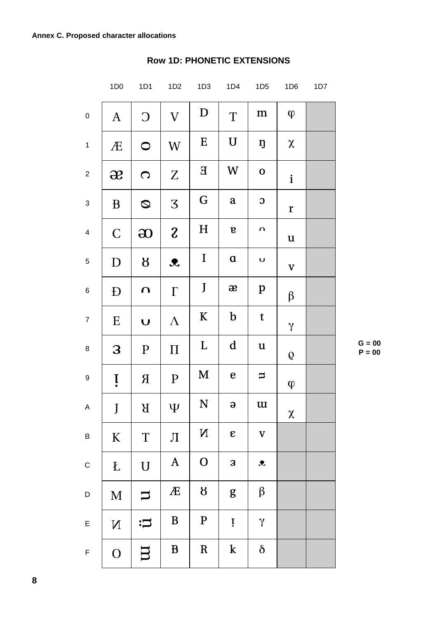|                         | 1D <sub>0</sub> | 1D1                        | 1D2                        | 1D3                   | 1D4                       | 1D <sub>5</sub>     | 1D <sub>6</sub> | 1D7 |
|-------------------------|-----------------|----------------------------|----------------------------|-----------------------|---------------------------|---------------------|-----------------|-----|
| $\pmb{0}$               | $\mathbf{A}$    | $\bigcirc$                 | $\boldsymbol{\mathrm{V}}$  | D                     | T                         | m                   | $\varphi$       |     |
| $\mathbf{1}$            | Æ               | $\bigcirc$                 | W                          | ${\bf E}$             | $\mathbf U$               | ŋ                   | $\pmb{\chi}$    |     |
| $\overline{c}$          | $\mathbf{R}$    | $\bigcirc$                 | Z                          | ${\bf E}$             | W                         | $\mathbf 0$         | $\mathbf{i}$    |     |
| $\mathfrak{S}$          | $\bf{B}$        | Ø                          | $\overline{\mathcal{S}}$   | G                     | $\mathbf a$               | $\mathbf{C}$        | $\mathbf r$     |     |
| $\overline{\mathbf{4}}$ | $\mathsf C$     | $\boldsymbol{\mathsf{30}}$ | $\mathfrak{z}$             | $H_{\rm}$             | $\bf{B}$                  | $\Omega$            | $\mathbf u$     |     |
| $\sqrt{5}$              | D               | $\boldsymbol{\beta}$       | $\boldsymbol{\mathcal{X}}$ | $\bf{I}$              | $\mathbf a$               | $\cup$              | $\mathbf{V}$    |     |
| $\,6$                   | Đ               | $\Omega$                   | $\Gamma$                   | J                     | $\boldsymbol{\mathit{x}}$ | $\, {\bf p}$        | $\beta$         |     |
| $\boldsymbol{7}$        | E               | $\cup$                     | $\Lambda$                  | $\mathbf K$           | $\mathbf b$               | $\mathbf t$         | $\gamma$        |     |
| 8                       | 3               | $\mathbf{P}$               | $\Pi$                      | L                     | $\mathbf d$               | $\mathbf u$         | Q               |     |
| $\boldsymbol{9}$        | İ.              | $\mathbf R$                | $\mathbf{P}$               | M                     | $\mathbf e$               | $\Box$              | $\varphi$       |     |
| A                       | J               | $\mathbf B$                | $\Psi$                     | ${\bf N}$             | $\Theta$                  | $\mathbf u$         | $\chi$          |     |
| B                       | $\bf K$         | $\mathbf T$                | Л                          | $\mathbf N$           | $\pmb{\varepsilon}$       | $\mathbf V$         |                 |     |
| $\mathsf C$             | Ł               | $\mathbf U$                | $\boldsymbol{A}$           | $\mathbf{O}$          | 3                         | $\pmb{\mathcal{R}}$ |                 |     |
| D                       | M               | $\overline{\phantom{0}}$   | Æ                          | $\boldsymbol{\delta}$ | g                         | $\beta$             |                 |     |
| E                       | $\mathbf N$     | $\ddot{\mathbf{u}}$        | B                          | $\mathbf P$           | Ţ                         | $\gamma$            |                 |     |
| $\mathsf F$             | $\mathbf{O}$    | $\Box$                     | $\bf{B}$                   | $\mathbf R$           | $\bf k$                   | $\delta$            |                 |     |

# **Row 1D: PHONETIC EXTENSIONS**

 $G = 00$  $P = 00$